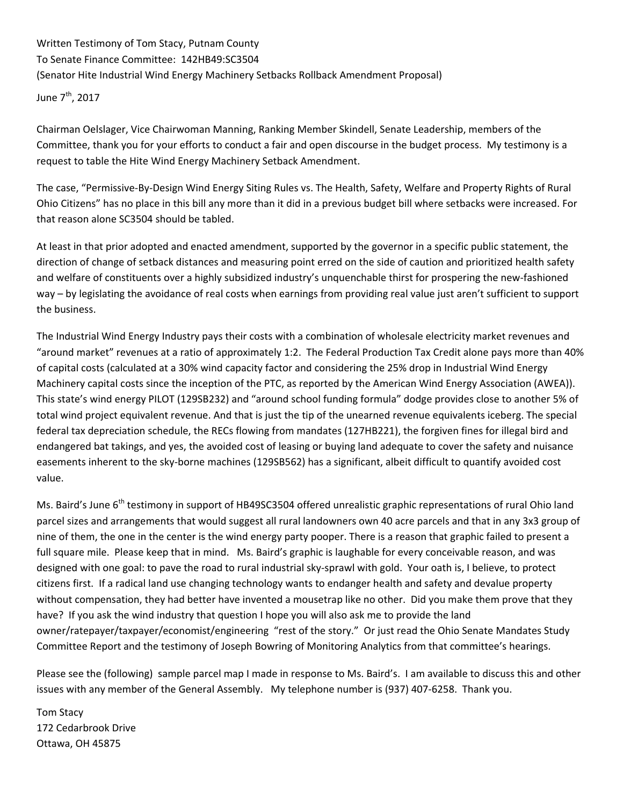Written Testimony of Tom Stacy, Putnam County To Senate Finance Committee: 142HB49:SC3504

(Senator Hite Industrial Wind Energy Machinery Setbacks Rollback Amendment Proposal)

June 7<sup>th</sup>, 2017

Chairman Oelslager, Vice Chairwoman Manning, Ranking Member Skindell, Senate Leadership, members of the Committee, thank you for your efforts to conduct a fair and open discourse in the budget process. My testimony is a request to table the Hite Wind Energy Machinery Setback Amendment.

The case, "Permissive‐By‐Design Wind Energy Siting Rules vs. The Health, Safety, Welfare and Property Rights of Rural Ohio Citizens" has no place in this bill any more than it did in a previous budget bill where setbacks were increased. For that reason alone SC3504 should be tabled.

At least in that prior adopted and enacted amendment, supported by the governor in a specific public statement, the direction of change of setback distances and measuring point erred on the side of caution and prioritized health safety and welfare of constituents over a highly subsidized industry's unquenchable thirst for prospering the new-fashioned way – by legislating the avoidance of real costs when earnings from providing real value just aren't sufficient to support the business.

The Industrial Wind Energy Industry pays their costs with a combination of wholesale electricity market revenues and "around market" revenues at a ratio of approximately 1:2. The Federal Production Tax Credit alone pays more than 40% of capital costs (calculated at a 30% wind capacity factor and considering the 25% drop in Industrial Wind Energy Machinery capital costs since the inception of the PTC, as reported by the American Wind Energy Association (AWEA)). This state's wind energy PILOT (129SB232) and "around school funding formula" dodge provides close to another 5% of total wind project equivalent revenue. And that is just the tip of the unearned revenue equivalents iceberg. The special federal tax depreciation schedule, the RECs flowing from mandates (127HB221), the forgiven fines for illegal bird and endangered bat takings, and yes, the avoided cost of leasing or buying land adequate to cover the safety and nuisance easements inherent to the sky‐borne machines (129SB562) has a significant, albeit difficult to quantify avoided cost value.

Ms. Baird's June 6<sup>th</sup> testimony in support of HB49SC3504 offered unrealistic graphic representations of rural Ohio land parcel sizes and arrangements that would suggest all rural landowners own 40 acre parcels and that in any 3x3 group of nine of them, the one in the center is the wind energy party pooper. There is a reason that graphic failed to present a full square mile. Please keep that in mind. Ms. Baird's graphic is laughable for every conceivable reason, and was designed with one goal: to pave the road to rural industrial sky‐sprawl with gold. Your oath is, I believe, to protect citizens first. If a radical land use changing technology wants to endanger health and safety and devalue property without compensation, they had better have invented a mousetrap like no other. Did you make them prove that they have? If you ask the wind industry that question I hope you will also ask me to provide the land owner/ratepayer/taxpayer/economist/engineering "rest of the story." Or just read the Ohio Senate Mandates Study Committee Report and the testimony of Joseph Bowring of Monitoring Analytics from that committee's hearings.

Please see the (following) sample parcel map I made in response to Ms. Baird's. I am available to discuss this and other issues with any member of the General Assembly. My telephone number is (937) 407‐6258. Thank you.

Tom Stacy 172 Cedarbrook Drive Ottawa, OH 45875